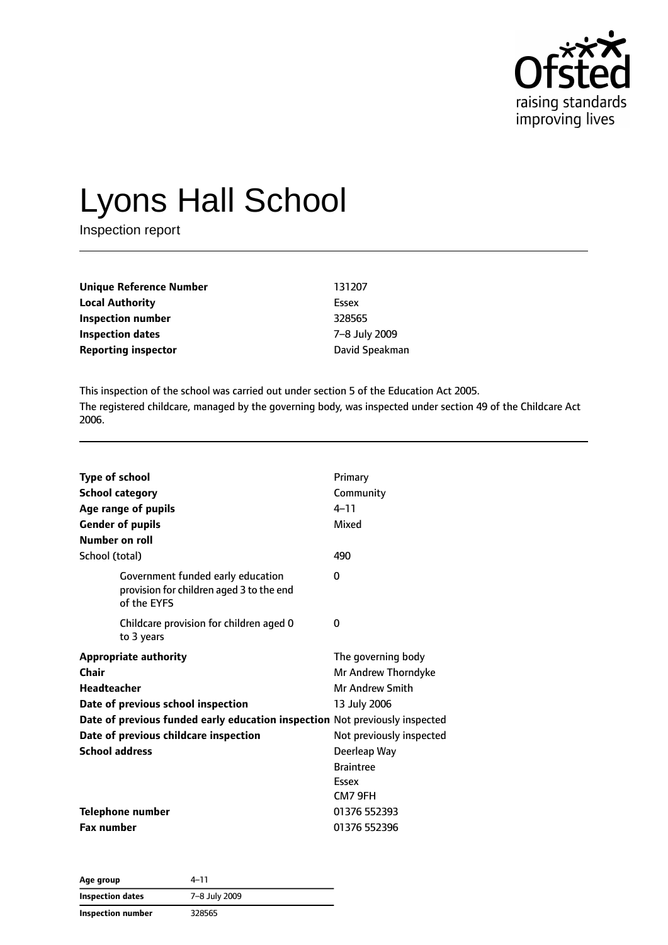

# Lyons Hall School

Inspection report

| <b>Unique Reference Number</b> | 131207         |
|--------------------------------|----------------|
| <b>Local Authority</b>         | Essex          |
| Inspection number              | 328565         |
| <b>Inspection dates</b>        | 7-8 July 2009  |
| <b>Reporting inspector</b>     | David Speakman |

This inspection of the school was carried out under section 5 of the Education Act 2005. The registered childcare, managed by the governing body, was inspected under section 49 of the Childcare Act 2006.

| <b>Type of school</b><br><b>School category</b><br>Age range of pupils<br><b>Gender of pupils</b><br>Number on roll                                                                                                                                | Primary<br>Community<br>$4 - 11$<br>Mixed                                                                                                    |
|----------------------------------------------------------------------------------------------------------------------------------------------------------------------------------------------------------------------------------------------------|----------------------------------------------------------------------------------------------------------------------------------------------|
| School (total)                                                                                                                                                                                                                                     | 490                                                                                                                                          |
| Government funded early education<br>provision for children aged 3 to the end<br>of the EYFS                                                                                                                                                       | 0                                                                                                                                            |
| Childcare provision for children aged 0<br>to 3 years                                                                                                                                                                                              | 0                                                                                                                                            |
| <b>Appropriate authority</b><br>Chair<br><b>Headteacher</b><br>Date of previous school inspection<br>Date of previous funded early education inspection Not previously inspected<br>Date of previous childcare inspection<br><b>School address</b> | The governing body<br>Mr Andrew Thorndyke<br>Mr Andrew Smith<br>13 July 2006<br>Not previously inspected<br>Deerleap Way<br><b>Braintree</b> |
| <b>Telephone number</b><br><b>Fax number</b>                                                                                                                                                                                                       | Essex<br>CM7 9FH<br>01376 552393<br>01376 552396                                                                                             |

| Age group               | 4–11          |
|-------------------------|---------------|
| <b>Inspection dates</b> | 7-8 July 2009 |
| Inspection number       | 328565        |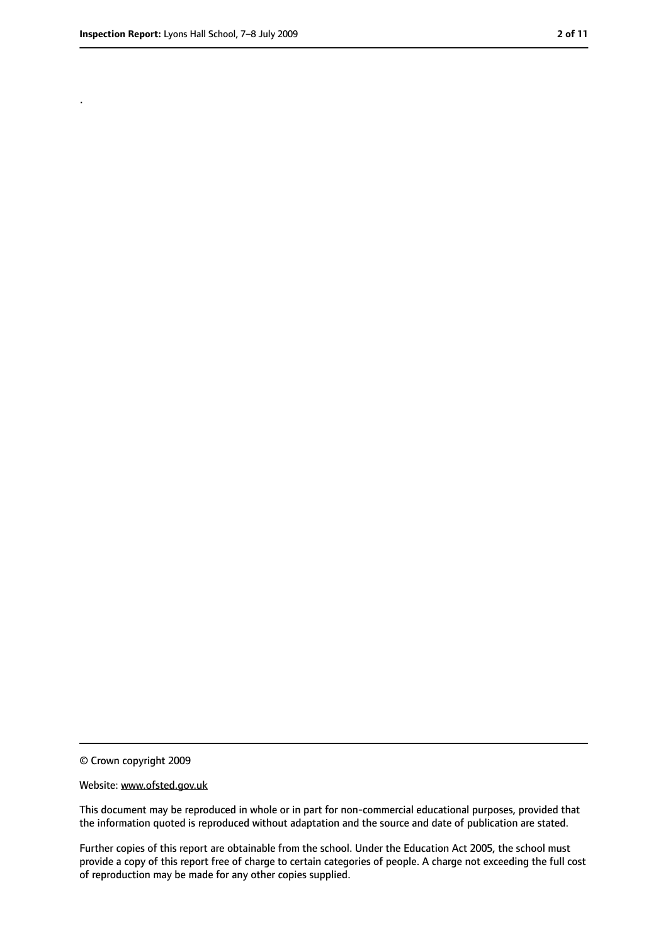.

<sup>©</sup> Crown copyright 2009

Website: www.ofsted.gov.uk

This document may be reproduced in whole or in part for non-commercial educational purposes, provided that the information quoted is reproduced without adaptation and the source and date of publication are stated.

Further copies of this report are obtainable from the school. Under the Education Act 2005, the school must provide a copy of this report free of charge to certain categories of people. A charge not exceeding the full cost of reproduction may be made for any other copies supplied.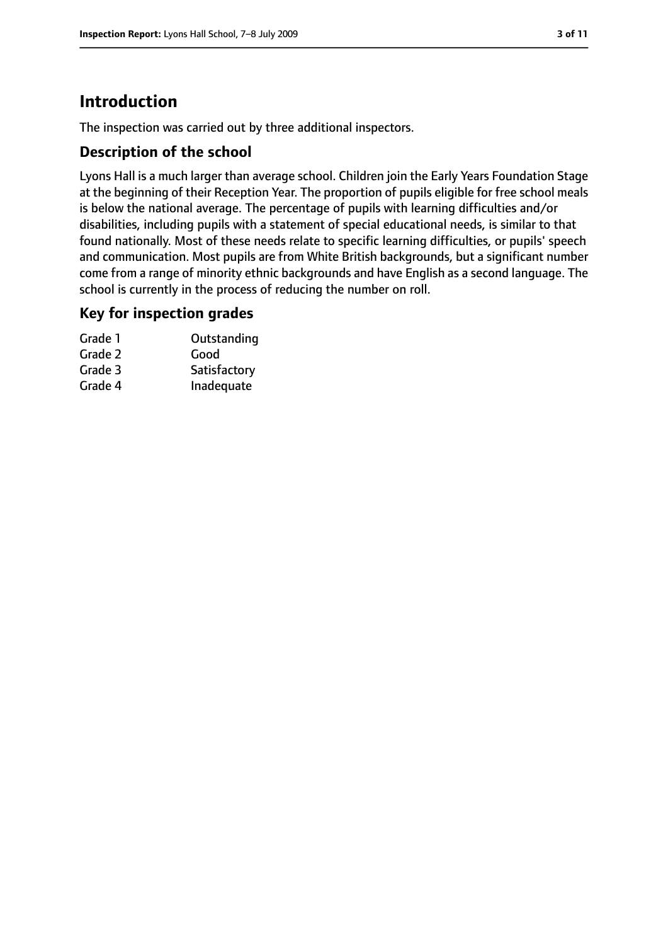# **Introduction**

The inspection was carried out by three additional inspectors.

## **Description of the school**

Lyons Hall is a much larger than average school. Children join the Early Years Foundation Stage at the beginning of their Reception Year. The proportion of pupils eligible for free school meals is below the national average. The percentage of pupils with learning difficulties and/or disabilities, including pupils with a statement of special educational needs, is similar to that found nationally. Most of these needs relate to specific learning difficulties, or pupils' speech and communication. Most pupils are from White British backgrounds, but a significant number come from a range of minority ethnic backgrounds and have English as a second language. The school is currently in the process of reducing the number on roll.

#### **Key for inspection grades**

| Grade 1 | Outstanding  |
|---------|--------------|
| Grade 2 | Good         |
| Grade 3 | Satisfactory |
| Grade 4 | Inadequate   |
|         |              |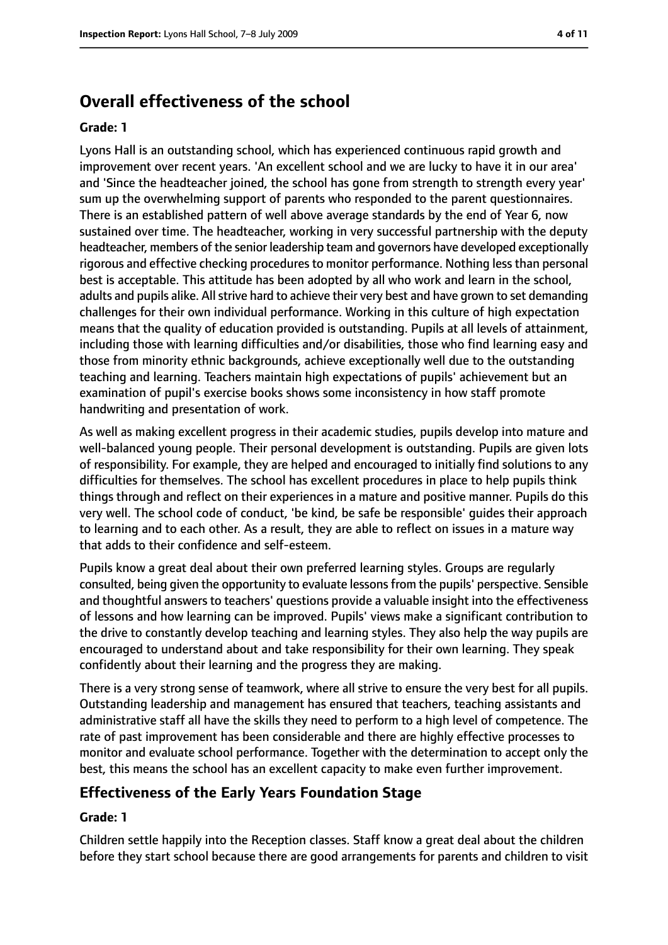# **Overall effectiveness of the school**

#### **Grade: 1**

Lyons Hall is an outstanding school, which has experienced continuous rapid growth and improvement over recent years. 'An excellent school and we are lucky to have it in our area' and 'Since the headteacher joined, the school has gone from strength to strength every year' sum up the overwhelming support of parents who responded to the parent questionnaires. There is an established pattern of well above average standards by the end of Year 6, now sustained over time. The headteacher, working in very successful partnership with the deputy headteacher, members of the senior leadership team and governors have developed exceptionally rigorous and effective checking procedures to monitor performance. Nothing less than personal best is acceptable. This attitude has been adopted by all who work and learn in the school, adults and pupils alike. All strive hard to achieve their very best and have grown to set demanding challenges for their own individual performance. Working in this culture of high expectation means that the quality of education provided is outstanding. Pupils at all levels of attainment, including those with learning difficulties and/or disabilities, those who find learning easy and those from minority ethnic backgrounds, achieve exceptionally well due to the outstanding teaching and learning. Teachers maintain high expectations of pupils' achievement but an examination of pupil's exercise books shows some inconsistency in how staff promote handwriting and presentation of work.

As well as making excellent progress in their academic studies, pupils develop into mature and well-balanced young people. Their personal development is outstanding. Pupils are given lots of responsibility. For example, they are helped and encouraged to initially find solutions to any difficulties for themselves. The school has excellent procedures in place to help pupils think things through and reflect on their experiences in a mature and positive manner. Pupils do this very well. The school code of conduct, 'be kind, be safe be responsible' guides their approach to learning and to each other. As a result, they are able to reflect on issues in a mature way that adds to their confidence and self-esteem.

Pupils know a great deal about their own preferred learning styles. Groups are regularly consulted, being given the opportunity to evaluate lessonsfrom the pupils' perspective. Sensible and thoughtful answers to teachers' questions provide a valuable insight into the effectiveness of lessons and how learning can be improved. Pupils' views make a significant contribution to the drive to constantly develop teaching and learning styles. They also help the way pupils are encouraged to understand about and take responsibility for their own learning. They speak confidently about their learning and the progress they are making.

There is a very strong sense of teamwork, where all strive to ensure the very best for all pupils. Outstanding leadership and management has ensured that teachers, teaching assistants and administrative staff all have the skills they need to perform to a high level of competence. The rate of past improvement has been considerable and there are highly effective processes to monitor and evaluate school performance. Together with the determination to accept only the best, this means the school has an excellent capacity to make even further improvement.

## **Effectiveness of the Early Years Foundation Stage**

#### **Grade: 1**

Children settle happily into the Reception classes. Staff know a great deal about the children before they start school because there are good arrangements for parents and children to visit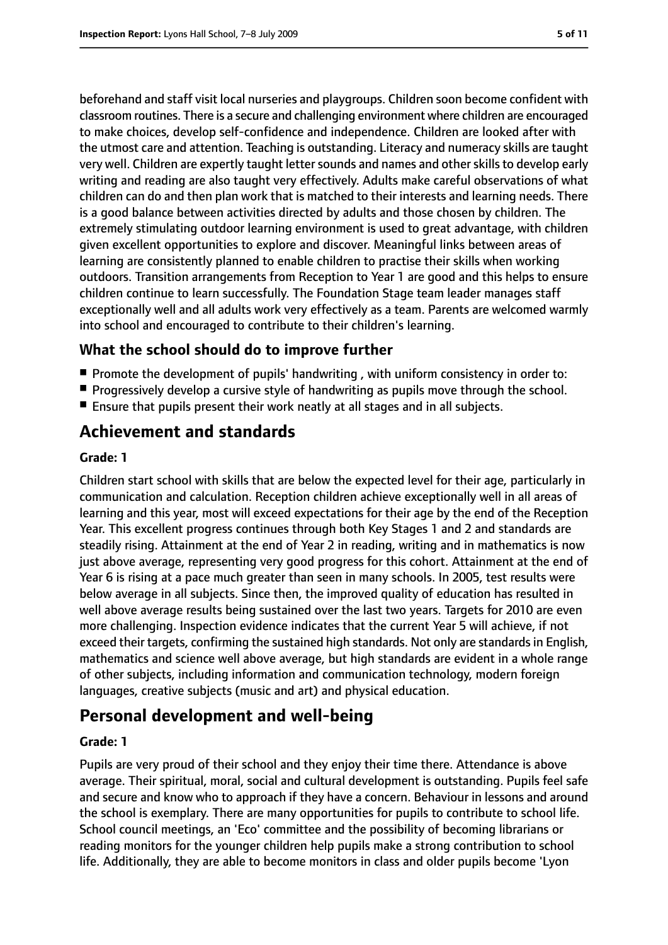beforehand and staff visit local nurseries and playgroups. Children soon become confident with classroom routines. There is a secure and challenging environment where children are encouraged to make choices, develop self-confidence and independence. Children are looked after with the utmost care and attention. Teaching is outstanding. Literacy and numeracy skills are taught very well. Children are expertly taught letter sounds and names and other skills to develop early writing and reading are also taught very effectively. Adults make careful observations of what children can do and then plan work that is matched to their interests and learning needs. There is a good balance between activities directed by adults and those chosen by children. The extremely stimulating outdoor learning environment is used to great advantage, with children given excellent opportunities to explore and discover. Meaningful links between areas of learning are consistently planned to enable children to practise their skills when working outdoors. Transition arrangements from Reception to Year 1 are good and this helps to ensure children continue to learn successfully. The Foundation Stage team leader manages staff exceptionally well and all adults work very effectively as a team. Parents are welcomed warmly into school and encouraged to contribute to their children's learning.

## **What the school should do to improve further**

- Promote the development of pupils' handwriting, with uniform consistency in order to:
- Progressively develop a cursive style of handwriting as pupils move through the school.
- Ensure that pupils present their work neatly at all stages and in all subjects.

# **Achievement and standards**

#### **Grade: 1**

Children start school with skills that are below the expected level for their age, particularly in communication and calculation. Reception children achieve exceptionally well in all areas of learning and this year, most will exceed expectations for their age by the end of the Reception Year. This excellent progress continues through both Key Stages 1 and 2 and standards are steadily rising. Attainment at the end of Year 2 in reading, writing and in mathematics is now just above average, representing very good progress for this cohort. Attainment at the end of Year 6 is rising at a pace much greater than seen in many schools. In 2005, test results were below average in all subjects. Since then, the improved quality of education has resulted in well above average results being sustained over the last two years. Targets for 2010 are even more challenging. Inspection evidence indicates that the current Year 5 will achieve, if not exceed their targets, confirming the sustained high standards. Not only are standards in English, mathematics and science well above average, but high standards are evident in a whole range of other subjects, including information and communication technology, modern foreign languages, creative subjects (music and art) and physical education.

# **Personal development and well-being**

## **Grade: 1**

Pupils are very proud of their school and they enjoy their time there. Attendance is above average. Their spiritual, moral, social and cultural development is outstanding. Pupils feel safe and secure and know who to approach if they have a concern. Behaviour in lessons and around the school is exemplary. There are many opportunities for pupils to contribute to school life. School council meetings, an 'Eco' committee and the possibility of becoming librarians or reading monitors for the younger children help pupils make a strong contribution to school life. Additionally, they are able to become monitors in class and older pupils become 'Lyon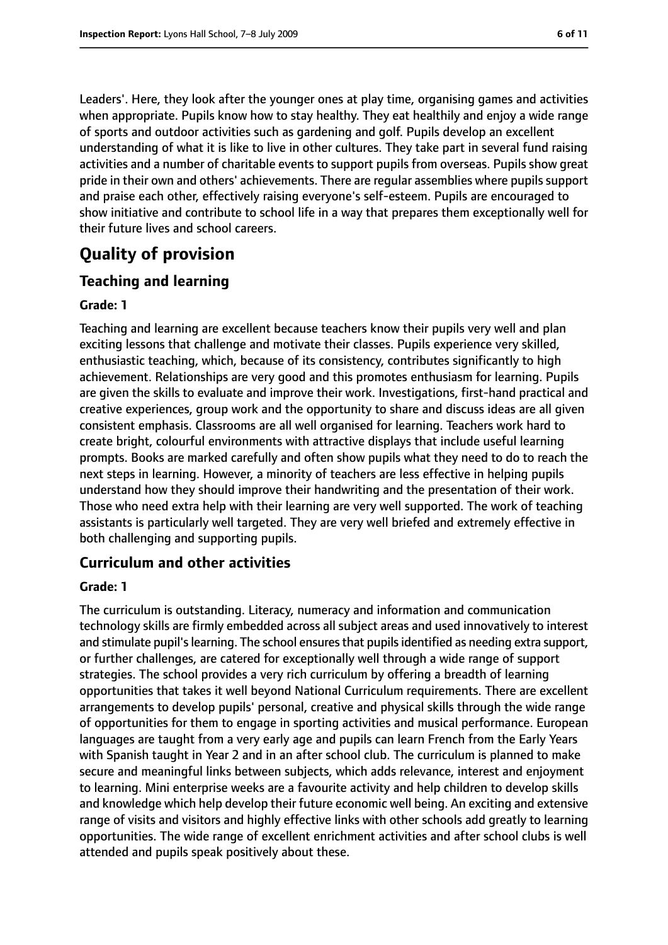Leaders'. Here, they look after the younger ones at play time, organising games and activities when appropriate. Pupils know how to stay healthy. They eat healthily and enjoy a wide range of sports and outdoor activities such as gardening and golf. Pupils develop an excellent understanding of what it is like to live in other cultures. They take part in several fund raising activities and a number of charitable events to support pupils from overseas. Pupils show great pride in their own and others' achievements. There are regular assemblies where pupils support and praise each other, effectively raising everyone's self-esteem. Pupils are encouraged to show initiative and contribute to school life in a way that prepares them exceptionally well for their future lives and school careers.

# **Quality of provision**

## **Teaching and learning**

#### **Grade: 1**

Teaching and learning are excellent because teachers know their pupils very well and plan exciting lessons that challenge and motivate their classes. Pupils experience very skilled, enthusiastic teaching, which, because of its consistency, contributes significantly to high achievement. Relationships are very good and this promotes enthusiasm for learning. Pupils are given the skills to evaluate and improve their work. Investigations, first-hand practical and creative experiences, group work and the opportunity to share and discuss ideas are all given consistent emphasis. Classrooms are all well organised for learning. Teachers work hard to create bright, colourful environments with attractive displays that include useful learning prompts. Books are marked carefully and often show pupils what they need to do to reach the next steps in learning. However, a minority of teachers are less effective in helping pupils understand how they should improve their handwriting and the presentation of their work. Those who need extra help with their learning are very well supported. The work of teaching assistants is particularly well targeted. They are very well briefed and extremely effective in both challenging and supporting pupils.

## **Curriculum and other activities**

#### **Grade: 1**

The curriculum is outstanding. Literacy, numeracy and information and communication technology skills are firmly embedded across all subject areas and used innovatively to interest and stimulate pupil's learning. The school ensures that pupils identified as needing extra support, or further challenges, are catered for exceptionally well through a wide range of support strategies. The school provides a very rich curriculum by offering a breadth of learning opportunities that takes it well beyond National Curriculum requirements. There are excellent arrangements to develop pupils' personal, creative and physical skills through the wide range of opportunities for them to engage in sporting activities and musical performance. European languages are taught from a very early age and pupils can learn French from the Early Years with Spanish taught in Year 2 and in an after school club. The curriculum is planned to make secure and meaningful links between subjects, which adds relevance, interest and enjoyment to learning. Mini enterprise weeks are a favourite activity and help children to develop skills and knowledge which help develop their future economic well being. An exciting and extensive range of visits and visitors and highly effective links with other schools add greatly to learning opportunities. The wide range of excellent enrichment activities and after school clubs is well attended and pupils speak positively about these.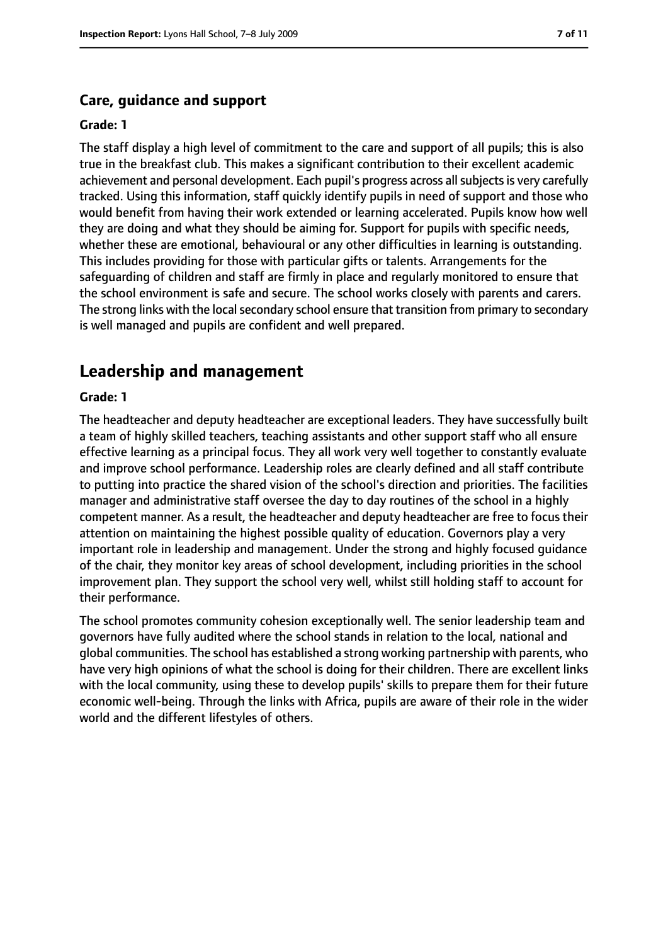## **Care, guidance and support**

#### **Grade: 1**

The staff display a high level of commitment to the care and support of all pupils; this is also true in the breakfast club. This makes a significant contribution to their excellent academic achievement and personal development. Each pupil's progress across all subjects is very carefully tracked. Using this information, staff quickly identify pupils in need of support and those who would benefit from having their work extended or learning accelerated. Pupils know how well they are doing and what they should be aiming for. Support for pupils with specific needs, whether these are emotional, behavioural or any other difficulties in learning is outstanding. This includes providing for those with particular gifts or talents. Arrangements for the safeguarding of children and staff are firmly in place and regularly monitored to ensure that the school environment is safe and secure. The school works closely with parents and carers. The strong links with the local secondary school ensure that transition from primary to secondary is well managed and pupils are confident and well prepared.

# **Leadership and management**

#### **Grade: 1**

The headteacher and deputy headteacher are exceptional leaders. They have successfully built a team of highly skilled teachers, teaching assistants and other support staff who all ensure effective learning as a principal focus. They all work very well together to constantly evaluate and improve school performance. Leadership roles are clearly defined and all staff contribute to putting into practice the shared vision of the school's direction and priorities. The facilities manager and administrative staff oversee the day to day routines of the school in a highly competent manner. As a result, the headteacher and deputy headteacher are free to focus their attention on maintaining the highest possible quality of education. Governors play a very important role in leadership and management. Under the strong and highly focused guidance of the chair, they monitor key areas of school development, including priorities in the school improvement plan. They support the school very well, whilst still holding staff to account for their performance.

The school promotes community cohesion exceptionally well. The senior leadership team and governors have fully audited where the school stands in relation to the local, national and global communities. The school has established a strong working partnership with parents, who have very high opinions of what the school is doing for their children. There are excellent links with the local community, using these to develop pupils' skills to prepare them for their future economic well-being. Through the links with Africa, pupils are aware of their role in the wider world and the different lifestyles of others.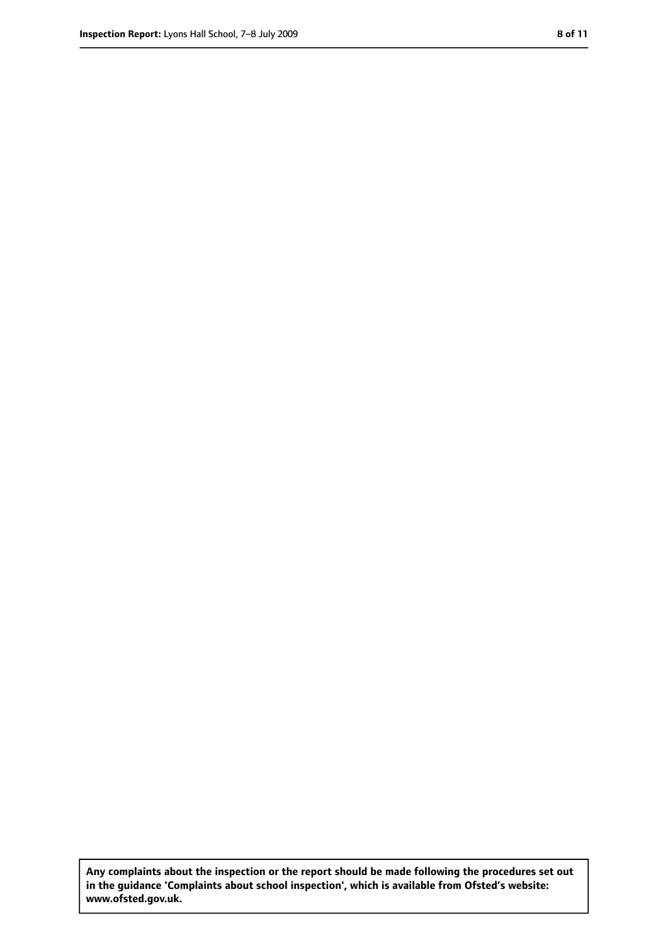**Any complaints about the inspection or the report should be made following the procedures set out in the guidance 'Complaints about school inspection', which is available from Ofsted's website: www.ofsted.gov.uk.**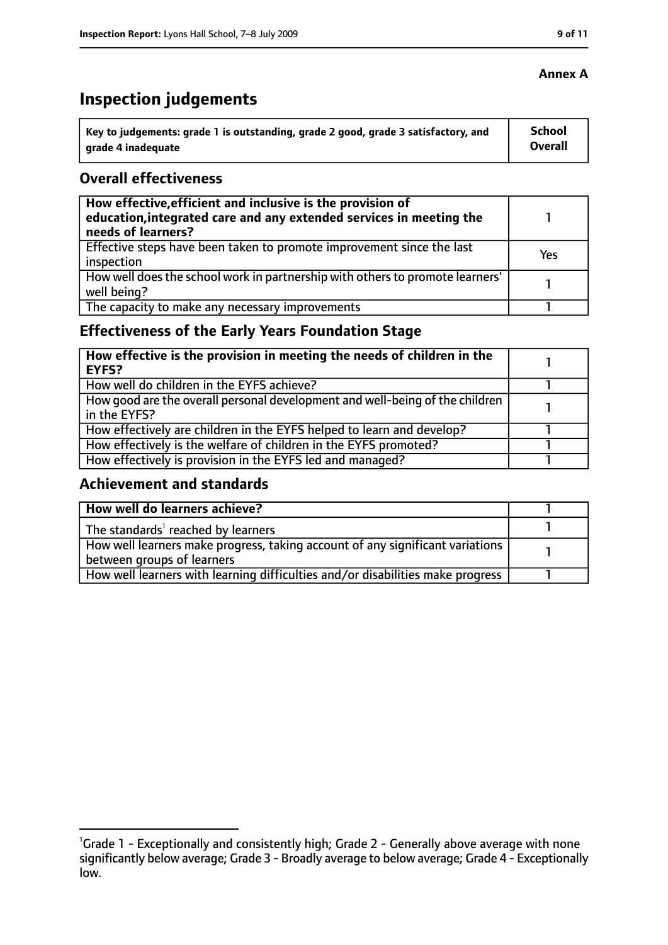# **Inspection judgements**

| key to judgements: grade 1 is outstanding, grade 2 good, grade 3 satisfactory, and ا | <b>School</b> |
|--------------------------------------------------------------------------------------|---------------|
| arade 4 inadeguate                                                                   | Overall       |

#### **Overall effectiveness**

| How effective, efficient and inclusive is the provision of<br>education, integrated care and any extended services in meeting the<br>needs of learners? |     |
|---------------------------------------------------------------------------------------------------------------------------------------------------------|-----|
| Effective steps have been taken to promote improvement since the last<br>inspection                                                                     | Yes |
| How well does the school work in partnership with others to promote learners'<br>well being?                                                            |     |
| The capacity to make any necessary improvements                                                                                                         |     |

# **Effectiveness of the Early Years Foundation Stage**

| How effective is the provision in meeting the needs of children in the<br>l EYFS?              |  |
|------------------------------------------------------------------------------------------------|--|
| How well do children in the EYFS achieve?                                                      |  |
| How good are the overall personal development and well-being of the children<br>I in the EYFS? |  |
| How effectively are children in the EYFS helped to learn and develop?                          |  |
| How effectively is the welfare of children in the EYFS promoted?                               |  |
| How effectively is provision in the EYFS led and managed?                                      |  |

## **Achievement and standards**

| How well do learners achieve?                                                               |  |
|---------------------------------------------------------------------------------------------|--|
| $\vert$ The standards <sup>1</sup> reached by learners                                      |  |
| $\mid$ How well learners make progress, taking account of any significant variations $\mid$ |  |
| between groups of learners                                                                  |  |
| How well learners with learning difficulties and/or disabilities make progress              |  |

## **Annex A**

<sup>&</sup>lt;sup>1</sup>Grade 1 - Exceptionally and consistently high; Grade 2 - Generally above average with none significantly below average; Grade 3 - Broadly average to below average; Grade 4 - Exceptionally low.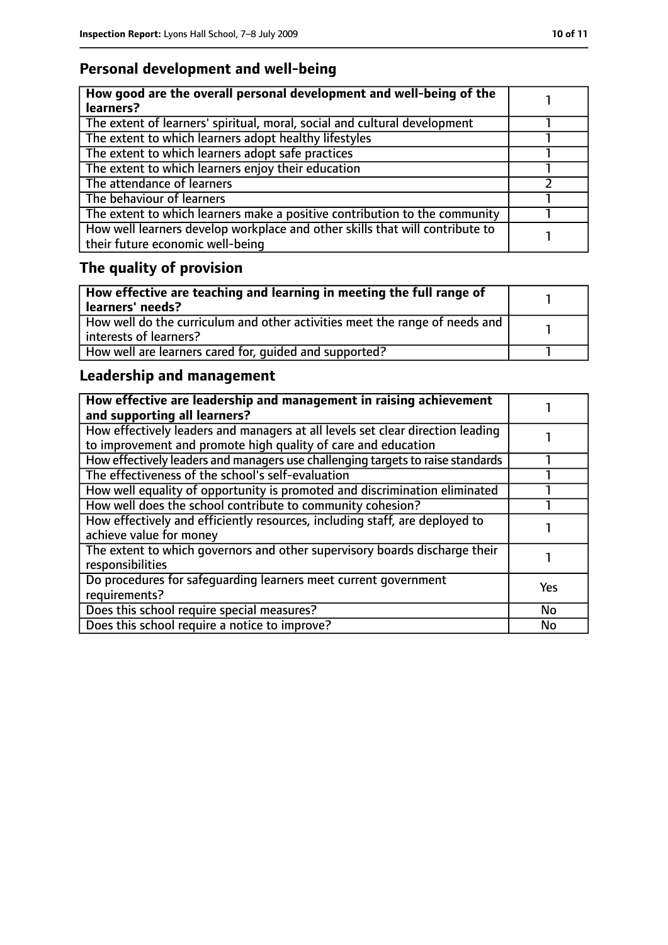# **Personal development and well-being**

| How good are the overall personal development and well-being of the<br>learners?                                 |  |
|------------------------------------------------------------------------------------------------------------------|--|
| The extent of learners' spiritual, moral, social and cultural development                                        |  |
| The extent to which learners adopt healthy lifestyles                                                            |  |
| The extent to which learners adopt safe practices                                                                |  |
| The extent to which learners enjoy their education                                                               |  |
| The attendance of learners                                                                                       |  |
| The behaviour of learners                                                                                        |  |
| The extent to which learners make a positive contribution to the community                                       |  |
| How well learners develop workplace and other skills that will contribute to<br>their future economic well-being |  |

# **The quality of provision**

| How effective are teaching and learning in meeting the full range of<br>learners' needs?              |  |
|-------------------------------------------------------------------------------------------------------|--|
| How well do the curriculum and other activities meet the range of needs and<br>interests of learners? |  |
| How well are learners cared for, quided and supported?                                                |  |

# **Leadership and management**

| How effective are leadership and management in raising achievement<br>and supporting all learners?                                              |            |
|-------------------------------------------------------------------------------------------------------------------------------------------------|------------|
| How effectively leaders and managers at all levels set clear direction leading<br>to improvement and promote high quality of care and education |            |
| How effectively leaders and managers use challenging targets to raise standards                                                                 |            |
| The effectiveness of the school's self-evaluation                                                                                               |            |
| How well equality of opportunity is promoted and discrimination eliminated                                                                      |            |
| How well does the school contribute to community cohesion?                                                                                      |            |
| How effectively and efficiently resources, including staff, are deployed to<br>achieve value for money                                          |            |
| The extent to which governors and other supervisory boards discharge their<br>responsibilities                                                  |            |
| Do procedures for safequarding learners meet current government<br>requirements?                                                                | <b>Yes</b> |
| Does this school require special measures?                                                                                                      | <b>No</b>  |
| Does this school require a notice to improve?                                                                                                   | No         |